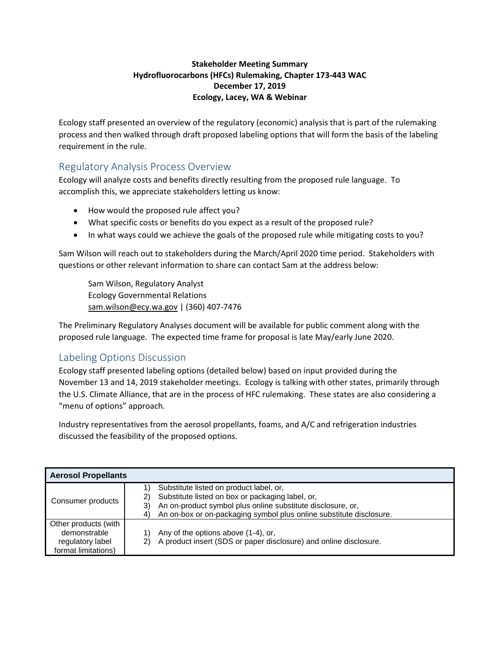## **Stakeholder Meeting Summary Hydrofluorocarbons (HFCs) Rulemaking, Chapter 173-443 WAC December 17, 2019 Ecology, Lacey, WA & Webinar**

Ecology staff presented an overview of the regulatory (economic) analysis that is part of the rulemaking process and then walked through draft proposed labeling options that will form the basis of the labeling requirement in the rule.

## Regulatory Analysis Process Overview

Ecology will analyze costs and benefits directly resulting from the proposed rule language. To accomplish this, we appreciate stakeholders letting us know:

- How would the proposed rule affect you?
- What specific costs or benefits do you expect as a result of the proposed rule?
- In what ways could we achieve the goals of the proposed rule while mitigating costs to you?

Sam Wilson will reach out to stakeholders during the March/April 2020 time period. Stakeholders with questions or other relevant information to share can contact Sam at the address below:

Sam Wilson, Regulatory Analyst Ecology Governmental Relations sam.wilson@ecy.wa.gov | (360) 407-7476

The Preliminary Regulatory Analyses document will be available for public comment along with the proposed rule language. The expected time frame for proposal is late May/early June 2020.

## Labeling Options Discussion

Ecology staff presented labeling options (detailed below) based on input provided during the November 13 and 14, 2019 stakeholder meetings. Ecology is talking with other states, primarily through the U.S. Climate Alliance, that are in the process of HFC rulemaking. These states are also considering a "menu of options" approach.

Industry representatives from the aerosol propellants, foams, and A/C and refrigeration industries discussed the feasibility of the proposed options.

| <b>Aerosol Propellants</b>                                                      |                                                                                                                                                                                                                                                          |  |  |  |
|---------------------------------------------------------------------------------|----------------------------------------------------------------------------------------------------------------------------------------------------------------------------------------------------------------------------------------------------------|--|--|--|
| Consumer products                                                               | Substitute listed on product label, or,<br>Substitute listed on box or packaging label, or,<br>2)<br>An on-product symbol plus online substitute disclosure, or,<br>3)<br>An on-box or on-packaging symbol plus online substitute disclosure.<br>$\vert$ |  |  |  |
| Other products (with<br>demonstrable<br>regulatory label<br>format limitations) | Any of the options above (1-4), or,<br>A product insert (SDS or paper disclosure) and online disclosure.<br>2)                                                                                                                                           |  |  |  |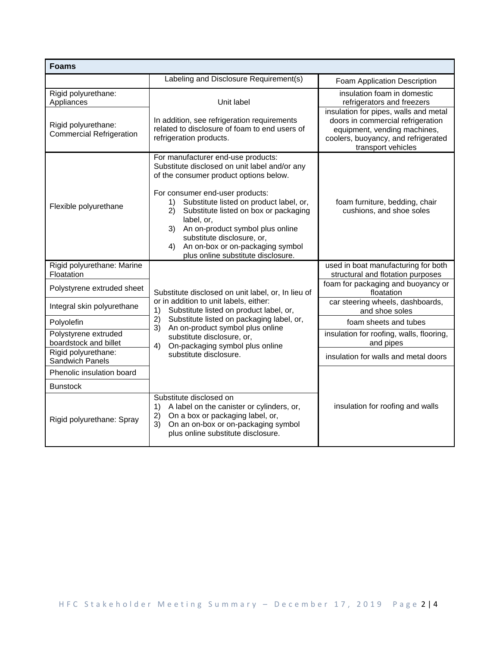| <b>Foams</b>                                           |                                                                                                                                                                                                                                                                                                                                                                                                                                     |                                                                                                                                                                         |  |  |
|--------------------------------------------------------|-------------------------------------------------------------------------------------------------------------------------------------------------------------------------------------------------------------------------------------------------------------------------------------------------------------------------------------------------------------------------------------------------------------------------------------|-------------------------------------------------------------------------------------------------------------------------------------------------------------------------|--|--|
|                                                        | Labeling and Disclosure Requirement(s)                                                                                                                                                                                                                                                                                                                                                                                              | Foam Application Description                                                                                                                                            |  |  |
| Rigid polyurethane:<br>Appliances                      | Unit label                                                                                                                                                                                                                                                                                                                                                                                                                          | insulation foam in domestic<br>refrigerators and freezers                                                                                                               |  |  |
| Rigid polyurethane:<br><b>Commercial Refrigeration</b> | In addition, see refrigeration requirements<br>related to disclosure of foam to end users of<br>refrigeration products.                                                                                                                                                                                                                                                                                                             | insulation for pipes, walls and metal<br>doors in commercial refrigeration<br>equipment, vending machines,<br>coolers, buoyancy, and refrigerated<br>transport vehicles |  |  |
| Flexible polyurethane                                  | For manufacturer end-use products:<br>Substitute disclosed on unit label and/or any<br>of the consumer product options below.<br>For consumer end-user products:<br>Substitute listed on product label, or,<br>1)<br>2)<br>Substitute listed on box or packaging<br>label, or,<br>3) An on-product symbol plus online<br>substitute disclosure, or,<br>An on-box or on-packaging symbol<br>4)<br>plus online substitute disclosure. | foam furniture, bedding, chair<br>cushions, and shoe soles                                                                                                              |  |  |
| Rigid polyurethane: Marine<br><b>Floatation</b>        |                                                                                                                                                                                                                                                                                                                                                                                                                                     | used in boat manufacturing for both<br>structural and flotation purposes                                                                                                |  |  |
| Polystyrene extruded sheet                             | Substitute disclosed on unit label, or, In lieu of<br>or in addition to unit labels, either:<br>Substitute listed on product label, or,<br>1)<br>Substitute listed on packaging label, or,<br>2)<br>An on-product symbol plus online<br>3)<br>substitute disclosure, or,<br>On-packaging symbol plus online<br>4)                                                                                                                   | foam for packaging and buoyancy or<br>floatation                                                                                                                        |  |  |
| Integral skin polyurethane                             |                                                                                                                                                                                                                                                                                                                                                                                                                                     | car steering wheels, dashboards,<br>and shoe soles                                                                                                                      |  |  |
| Polyolefin                                             |                                                                                                                                                                                                                                                                                                                                                                                                                                     | foam sheets and tubes                                                                                                                                                   |  |  |
| Polystyrene extruded<br>boardstock and billet          |                                                                                                                                                                                                                                                                                                                                                                                                                                     | insulation for roofing, walls, flooring,<br>and pipes                                                                                                                   |  |  |
| Rigid polyurethane:<br>Sandwich Panels                 | substitute disclosure.                                                                                                                                                                                                                                                                                                                                                                                                              | insulation for walls and metal doors                                                                                                                                    |  |  |
| Phenolic insulation board                              |                                                                                                                                                                                                                                                                                                                                                                                                                                     |                                                                                                                                                                         |  |  |
| <b>Bunstock</b>                                        |                                                                                                                                                                                                                                                                                                                                                                                                                                     |                                                                                                                                                                         |  |  |
| Rigid polyurethane: Spray                              | Substitute disclosed on<br>A label on the canister or cylinders, or,<br>1)<br>On a box or packaging label, or,<br>2)<br>On an on-box or on-packaging symbol<br>3)<br>plus online substitute disclosure.                                                                                                                                                                                                                             | insulation for roofing and walls                                                                                                                                        |  |  |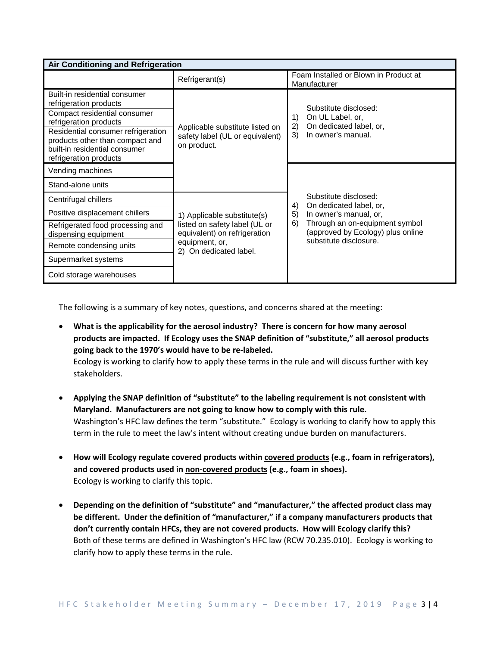| <b>Air Conditioning and Refrigeration</b>                                                                                                                                                                                                             |                                                                                                                                          |                                                                                                                               |  |  |
|-------------------------------------------------------------------------------------------------------------------------------------------------------------------------------------------------------------------------------------------------------|------------------------------------------------------------------------------------------------------------------------------------------|-------------------------------------------------------------------------------------------------------------------------------|--|--|
|                                                                                                                                                                                                                                                       | Refrigerant(s)                                                                                                                           | Foam Installed or Blown in Product at<br>Manufacturer                                                                         |  |  |
| Built-in residential consumer<br>refrigeration products<br>Compact residential consumer<br>refrigeration products<br>Residential consumer refrigeration<br>products other than compact and<br>built-in residential consumer<br>refrigeration products | Applicable substitute listed on<br>safety label (UL or equivalent)<br>on product.                                                        | Substitute disclosed:<br>On UL Label, or,<br>1)<br>On dedicated label, or,<br>2)<br>In owner's manual.<br>3)                  |  |  |
| Vending machines                                                                                                                                                                                                                                      |                                                                                                                                          |                                                                                                                               |  |  |
| Stand-alone units                                                                                                                                                                                                                                     |                                                                                                                                          |                                                                                                                               |  |  |
| Centrifugal chillers                                                                                                                                                                                                                                  | 1) Applicable substitute(s)<br>listed on safety label (UL or<br>equivalent) on refrigeration<br>equipment, or,<br>2) On dedicated label. | Substitute disclosed:<br>On dedicated label, or,<br>4)                                                                        |  |  |
| Positive displacement chillers                                                                                                                                                                                                                        |                                                                                                                                          | In owner's manual, or,<br>Through an on-equipment symbol<br>6)<br>(approved by Ecology) plus online<br>substitute disclosure. |  |  |
| Refrigerated food processing and<br>dispensing equipment                                                                                                                                                                                              |                                                                                                                                          |                                                                                                                               |  |  |
| Remote condensing units                                                                                                                                                                                                                               |                                                                                                                                          |                                                                                                                               |  |  |
| Supermarket systems                                                                                                                                                                                                                                   |                                                                                                                                          |                                                                                                                               |  |  |
| Cold storage warehouses                                                                                                                                                                                                                               |                                                                                                                                          |                                                                                                                               |  |  |

The following is a summary of key notes, questions, and concerns shared at the meeting:

- **What is the applicability for the aerosol industry? There is concern for how many aerosol products are impacted. If Ecology uses the SNAP definition of "substitute," all aerosol products going back to the 1970's would have to be re-labeled.** Ecology is working to clarify how to apply these terms in the rule and will discuss further with key stakeholders.
- **Applying the SNAP definition of "substitute" to the labeling requirement is not consistent with Maryland. Manufacturers are not going to know how to comply with this rule.** Washington's HFC law defines the term "substitute." Ecology is working to clarify how to apply this term in the rule to meet the law's intent without creating undue burden on manufacturers.
- **How will Ecology regulate covered products within covered products (e.g., foam in refrigerators), and covered products used in non-covered products (e.g., foam in shoes).** Ecology is working to clarify this topic.
- **Depending on the definition of "substitute" and "manufacturer," the affected product class may be different. Under the definition of "manufacturer," if a company manufacturers products that don't currently contain HFCs, they are not covered products. How will Ecology clarify this?** Both of these terms are defined in Washington's HFC law (RCW 70.235.010). Ecology is working to clarify how to apply these terms in the rule.